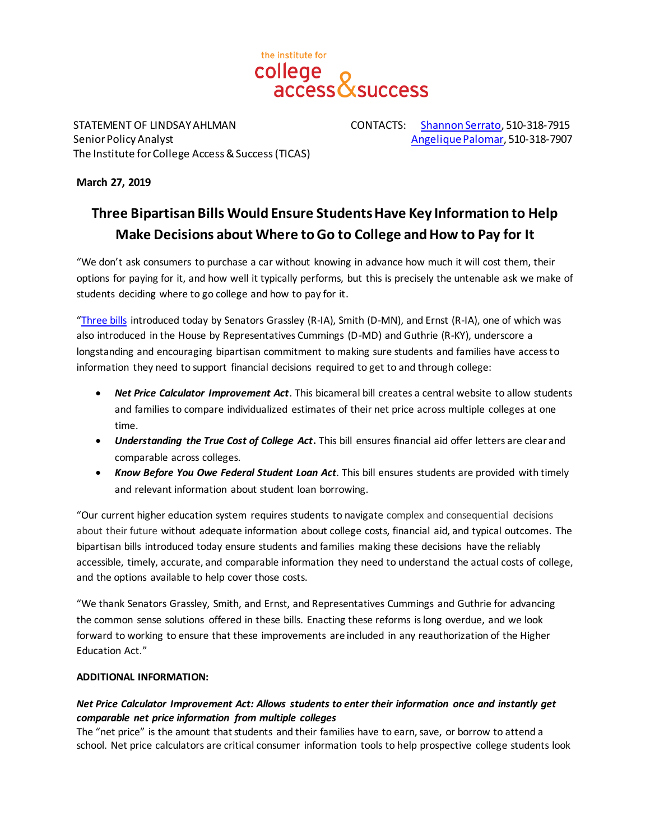

STATEMENT OF LINDSAY AHLMAN CONTACTS: [Shannon Serrato,](mailto:sserrato@ticas.org) 510-318-7915 Senior Policy Analyst [Angelique Palomar](mailto:apalomar@ticas.org), 510-318-7907 The Institute for College Access & Success(TICAS)

#### **March 27, 2019**

# **Three Bipartisan Bills Would Ensure Students Have Key Information to Help Make Decisions about Where to Go to College and How to Pay for It**

"We don't ask consumers to purchase a car without knowing in advance how much it will cost them, their options for paying for it, and how well it typically performs, but this is precisely the untenable ask we make of students deciding where to go college and how to pay for it.

"[Three bills](https://www.grassley.senate.gov/news/news-releases/grassley-smith-ernst-introduce-bipartisan-bills-help-students-understand-cost) introduced today by Senators Grassley (R-IA), Smith (D-MN), and Ernst (R-IA), one of which was also introduced in the House by Representatives Cummings (D-MD) and Guthrie (R-KY), underscore a longstanding and encouraging bipartisan commitment to making sure students and families have access to information they need to support financial decisions required to get to and through college:

- *Net Price Calculator Improvement Act*. This bicameral bill creates a central website to allow students and families to compare individualized estimates of their net price across multiple colleges at one time.
- **Understanding the True Cost of College Act.** This bill ensures financial aid offer letters are clear and comparable across colleges.
- *Know Before You Owe Federal Student Loan Act*. This bill ensures students are provided with timely and relevant information about student loan borrowing.

"Our current higher education system requires students to navigate complex and consequential decisions about their future without adequate information about college costs, financial aid, and typical outcomes. The bipartisan bills introduced today ensure students and families making these decisions have the reliably accessible, timely, accurate, and comparable information they need to understand the actual costs of college, and the options available to help cover those costs.

"We thank Senators Grassley, Smith, and Ernst, and Representatives Cummings and Guthrie for advancing the common sense solutions offered in these bills. Enacting these reforms is long overdue, and we look forward to working to ensure that these improvements are included in any reauthorization of the Higher Education Act."

#### **ADDITIONAL INFORMATION:**

### *Net Price Calculator Improvement Act: Allows students to enter their information once and instantly get comparable net price information from multiple colleges*

The "net price" is the amount that students and their families have to earn, save, or borrow to attend a school. Net price calculators are critical consumer information tools to help prospective college students look